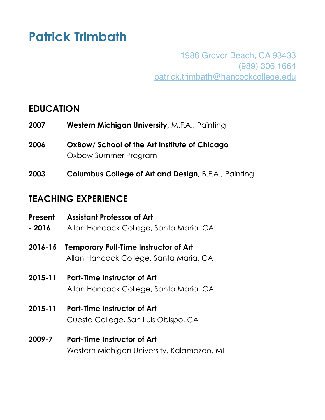# **Patrick Trimbath**

1986 Grover Beach, CA 93433 (989) 306 1664 [patrick.trimbath@hancockcollege.edu](mailto:patrick.trimbath@hancockcollege.edu)

# **EDUCATION**

- **2007 Western Michigan University,** M.F.A., Painting
- **2006 OxBow/ School of the Art Institute of Chicago** Oxbow Summer Program
- **2003 Columbus College of Art and Design,** B.F.A., Painting

\_\_\_\_\_\_\_\_\_\_\_\_\_\_\_\_\_\_\_\_\_\_\_\_\_\_\_\_\_\_\_\_\_\_\_\_\_\_\_\_\_\_\_\_\_\_\_\_\_\_\_\_\_\_\_\_

# **TEACHING EXPERIENCE**

- **Present Assistant Professor of Art - 2016** Allan Hancock College, Santa Maria, CA **2016-15 Temporary Full-Time Instructor of Art** Allan Hancock College, Santa Maria, CA **2015-11 Part-Time Instructor of Art** Allan Hancock College, Santa Maria, CA **2015-11 Part-Time Instructor of Art** Cuesta College, San Luis Obispo, CA
- **2009-7 Part-Time Instructor of Art** Western Michigan University, Kalamazoo, MI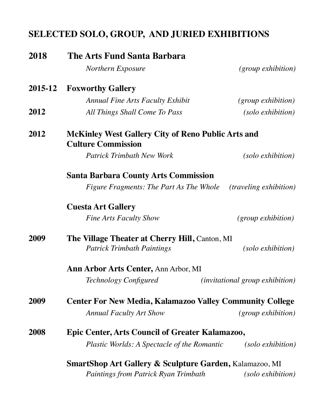# **SELECTED SOLO, GROUP, AND JURIED EXHIBITIONS**

| 2018    | <b>The Arts Fund Santa Barbara</b>                                                         |                                 |  |
|---------|--------------------------------------------------------------------------------------------|---------------------------------|--|
|         | <b>Northern Exposure</b>                                                                   | <i>(group exhibition)</i>       |  |
| 2015-12 | <b>Foxworthy Gallery</b>                                                                   |                                 |  |
|         | <b>Annual Fine Arts Faculty Exhibit</b>                                                    | <i>(group exhibition)</i>       |  |
| 2012    | All Things Shall Come To Pass                                                              | (solo exhibition)               |  |
| 2012    | <b>McKinley West Gallery City of Reno Public Arts and</b><br><b>Culture Commission</b>     |                                 |  |
|         | <b>Patrick Trimbath New Work</b>                                                           | (solo exhibition)               |  |
|         | <b>Santa Barbara County Arts Commission</b>                                                |                                 |  |
|         | <i>Figure Fragments: The Part As The Whole</i>                                             | <i>(traveling exhibition)</i>   |  |
|         | <b>Cuesta Art Gallery</b>                                                                  |                                 |  |
|         | <b>Fine Arts Faculty Show</b>                                                              | $(group$ exhibition)            |  |
| 2009    | <b>The Village Theater at Cherry Hill, Canton, MI</b><br><b>Patrick Trimbath Paintings</b> | (solo exhibition)               |  |
|         | <b>Ann Arbor Arts Center, Ann Arbor, MI</b>                                                |                                 |  |
|         | Technology Configured                                                                      | (invitational group exhibition) |  |
| 2009    | <b>Center For New Media, Kalamazoo Valley Community College</b>                            |                                 |  |
|         | <b>Annual Faculty Art Show</b>                                                             | <i>(group exhibition)</i>       |  |
| 2008    | <b>Epic Center, Arts Council of Greater Kalamazoo,</b>                                     |                                 |  |
|         | <i>Plastic Worlds: A Spectacle of the Romantic</i>                                         | (solo exhibition)               |  |
|         | <b>SmartShop Art Gallery &amp; Sculpture Garden, Kalamazoo, MI</b>                         |                                 |  |
|         | <b>Paintings from Patrick Ryan Trimbath</b>                                                | (solo exhibition)               |  |